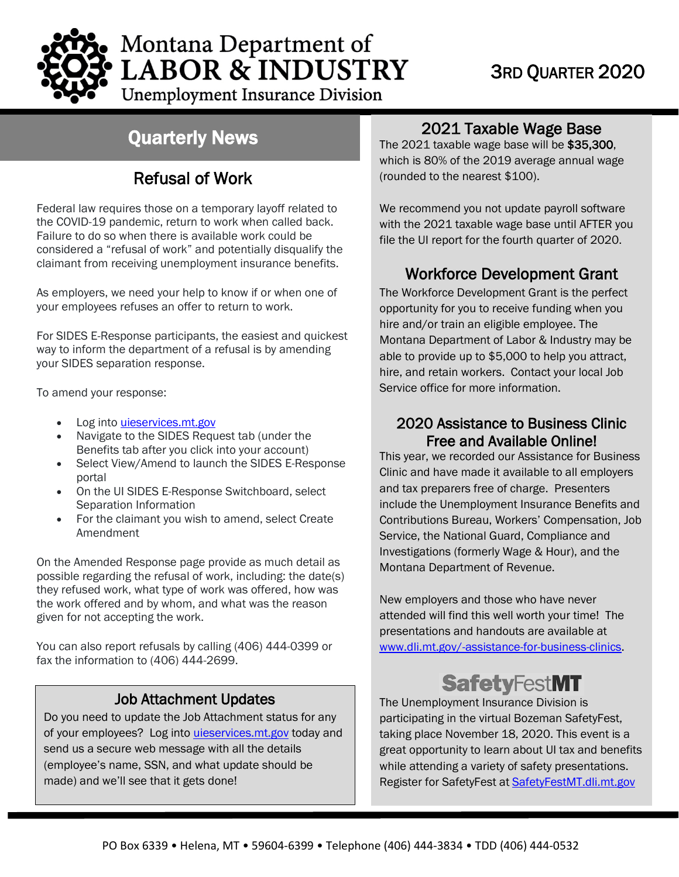

# Montana Department of **LABOR & INDUSTRY**

### **Unemployment Insurance Division**

## Quarterly News

### Refusal of Work

Federal law requires those on a temporary layoff related to the COVID-19 pandemic, return to work when called back. Failure to do so when there is available work could be considered a "refusal of work" and potentially disqualify the claimant from receiving unemployment insurance benefits.

As employers, we need your help to know if or when one of your employees refuses an offer to return to work.

For SIDES E-Response participants, the easiest and quickest way to inform the department of a refusal is by amending your SIDES separation response.

To amend your response:

- Log into *[uieservices.mt.gov](https://uieservices.mt.gov/_/)*
- Navigate to the SIDES Request tab (under the Benefits tab after you click into your account)
- Select View/Amend to launch the SIDES E-Response portal
- On the UI SIDES E-Response Switchboard, select Separation Information
- For the claimant you wish to amend, select Create Amendment

On the Amended Response page provide as much detail as possible regarding the refusal of work, including: the date(s) they refused work, what type of work was offered, how was the work offered and by whom, and what was the reason given for not accepting the work.

You can also report refusals by calling (406) 444-0399 or fax the information to (406) 444-2699.

#### Job Attachment Updates

Do you need to update the Job Attachment status for any of your employees? Log into [uieservices.mt.gov](https://uieservices.mt.gov/_/) today and send us a secure web message with all the details (employee's name, SSN, and what update should be made) and we'll see that it gets done!

## **2021 Taxable Wage Base**<br>The 2021 taxable wage base will be \$35,300,

which is 80% of the 2019 average annual wage (rounded to the nearest \$100).

We recommend you not update payroll software with the 2021 taxable wage base until AFTER you file the UI report for the fourth quarter of 2020.

#### Workforce Development Grant

The Workforce Development Grant is the perfect opportunity for you to receive funding when you hire and/or train an eligible employee. The Montana Department of Labor & Industry may be able to provide up to \$5,000 to help you attract, hire, and retain workers. Contact your local Job Service office for more information.

## 2020 Assistance to Business Clinic Free and Available Online! This year, we recorded our Assistance for Business

Clinic and have made it available to all employers and tax preparers free of charge. Presenters include the Unemployment Insurance Benefits and Contributions Bureau, Workers' Compensation, Job Service, the National Guard, Compliance and Investigations (formerly Wage & Hour), and the Montana Department of Revenue.

New employers and those who have never attended will find this well worth your time! The presentations and handouts are available at [www.dli.mt.gov/-assistance-for-business-clinics.](http://www.dli.mt.gov/-assistance-for-business-clinics)

## **SafetyFestMT**

The Unemployment Insurance Division is participating in the virtual Bozeman SafetyFest, taking place November 18, 2020. This event is a great opportunity to learn about UI tax and benefits while attending a variety of safety presentations. Register for SafetyFest at SafetyFestMT.dli.mt.gov